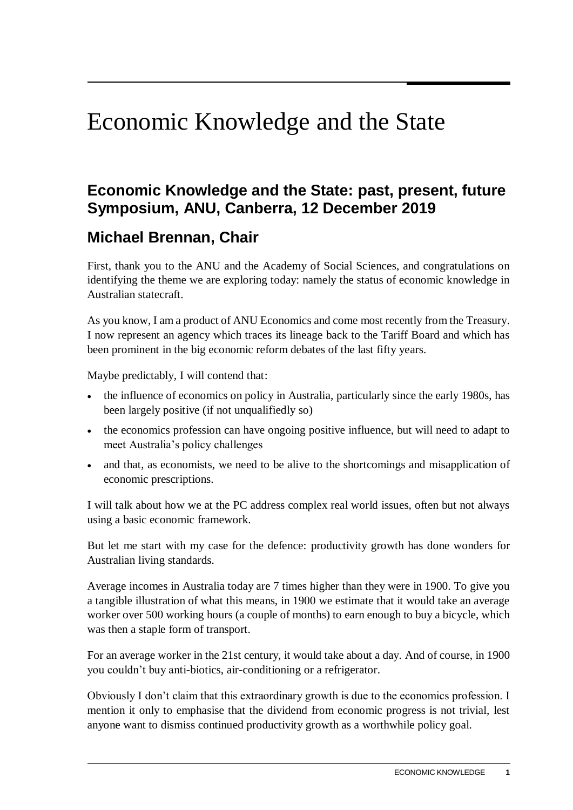# Economic Knowledge and the State

# **Economic Knowledge and the State: past, present, future Symposium, ANU, Canberra, 12 December 2019**

## **Michael Brennan, Chair**

First, thank you to the ANU and the Academy of Social Sciences, and congratulations on identifying the theme we are exploring today: namely the status of economic knowledge in Australian statecraft.

As you know, I am a product of ANU Economics and come most recently from the Treasury. I now represent an agency which traces its lineage back to the Tariff Board and which has been prominent in the big economic reform debates of the last fifty years.

Maybe predictably, I will contend that:

- the influence of economics on policy in Australia, particularly since the early 1980s, has been largely positive (if not unqualifiedly so)
- the economics profession can have ongoing positive influence, but will need to adapt to meet Australia's policy challenges
- and that, as economists, we need to be alive to the shortcomings and misapplication of economic prescriptions.

I will talk about how we at the PC address complex real world issues, often but not always using a basic economic framework.

But let me start with my case for the defence: productivity growth has done wonders for Australian living standards.

Average incomes in Australia today are 7 times higher than they were in 1900. To give you a tangible illustration of what this means, in 1900 we estimate that it would take an average worker over 500 working hours (a couple of months) to earn enough to buy a bicycle, which was then a staple form of transport.

For an average worker in the 21st century, it would take about a day. And of course, in 1900 you couldn't buy anti-biotics, air-conditioning or a refrigerator.

Obviously I don't claim that this extraordinary growth is due to the economics profession. I mention it only to emphasise that the dividend from economic progress is not trivial, lest anyone want to dismiss continued productivity growth as a worthwhile policy goal.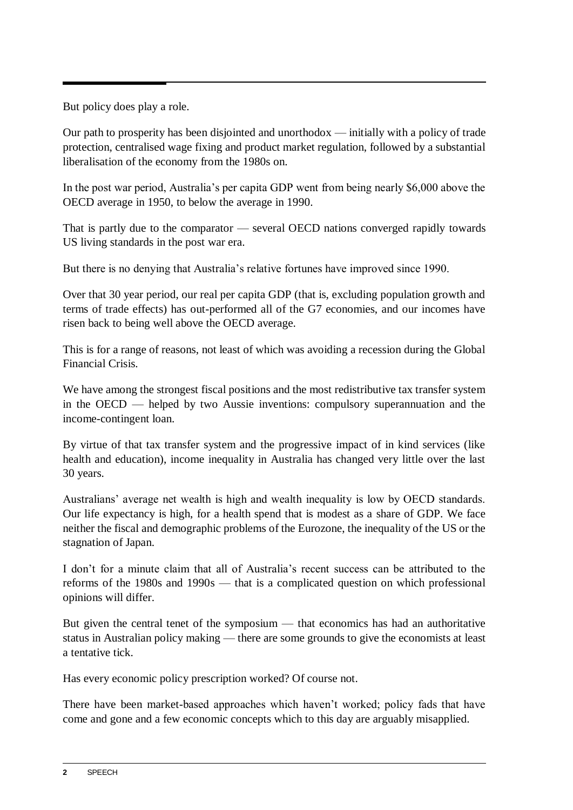But policy does play a role.

Our path to prosperity has been disjointed and unorthodox — initially with a policy of trade protection, centralised wage fixing and product market regulation, followed by a substantial liberalisation of the economy from the 1980s on.

In the post war period, Australia's per capita GDP went from being nearly \$6,000 above the OECD average in 1950, to below the average in 1990.

That is partly due to the comparator — several OECD nations converged rapidly towards US living standards in the post war era.

But there is no denying that Australia's relative fortunes have improved since 1990.

Over that 30 year period, our real per capita GDP (that is, excluding population growth and terms of trade effects) has out-performed all of the G7 economies, and our incomes have risen back to being well above the OECD average.

This is for a range of reasons, not least of which was avoiding a recession during the Global Financial Crisis.

We have among the strongest fiscal positions and the most redistributive tax transfer system in the OECD — helped by two Aussie inventions: compulsory superannuation and the income-contingent loan.

By virtue of that tax transfer system and the progressive impact of in kind services (like health and education), income inequality in Australia has changed very little over the last 30 years.

Australians' average net wealth is high and wealth inequality is low by OECD standards. Our life expectancy is high, for a health spend that is modest as a share of GDP. We face neither the fiscal and demographic problems of the Eurozone, the inequality of the US or the stagnation of Japan.

I don't for a minute claim that all of Australia's recent success can be attributed to the reforms of the 1980s and 1990s — that is a complicated question on which professional opinions will differ.

But given the central tenet of the symposium — that economics has had an authoritative status in Australian policy making — there are some grounds to give the economists at least a tentative tick.

Has every economic policy prescription worked? Of course not.

There have been market-based approaches which haven't worked; policy fads that have come and gone and a few economic concepts which to this day are arguably misapplied.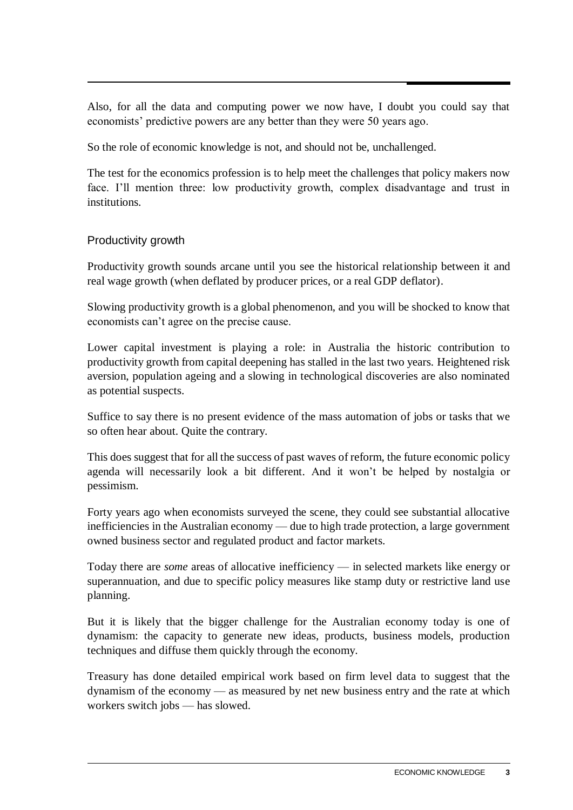Also, for all the data and computing power we now have, I doubt you could say that economists' predictive powers are any better than they were 50 years ago.

So the role of economic knowledge is not, and should not be, unchallenged.

The test for the economics profession is to help meet the challenges that policy makers now face. I'll mention three: low productivity growth, complex disadvantage and trust in institutions.

#### Productivity growth

Productivity growth sounds arcane until you see the historical relationship between it and real wage growth (when deflated by producer prices, or a real GDP deflator).

Slowing productivity growth is a global phenomenon, and you will be shocked to know that economists can't agree on the precise cause.

Lower capital investment is playing a role: in Australia the historic contribution to productivity growth from capital deepening has stalled in the last two years. Heightened risk aversion, population ageing and a slowing in technological discoveries are also nominated as potential suspects.

Suffice to say there is no present evidence of the mass automation of jobs or tasks that we so often hear about. Quite the contrary.

This does suggest that for all the success of past waves of reform, the future economic policy agenda will necessarily look a bit different. And it won't be helped by nostalgia or pessimism.

Forty years ago when economists surveyed the scene, they could see substantial allocative inefficiencies in the Australian economy — due to high trade protection, a large government owned business sector and regulated product and factor markets.

Today there are *some* areas of allocative inefficiency — in selected markets like energy or superannuation, and due to specific policy measures like stamp duty or restrictive land use planning.

But it is likely that the bigger challenge for the Australian economy today is one of dynamism: the capacity to generate new ideas, products, business models, production techniques and diffuse them quickly through the economy.

Treasury has done detailed empirical work based on firm level data to suggest that the dynamism of the economy — as measured by net new business entry and the rate at which workers switch jobs — has slowed.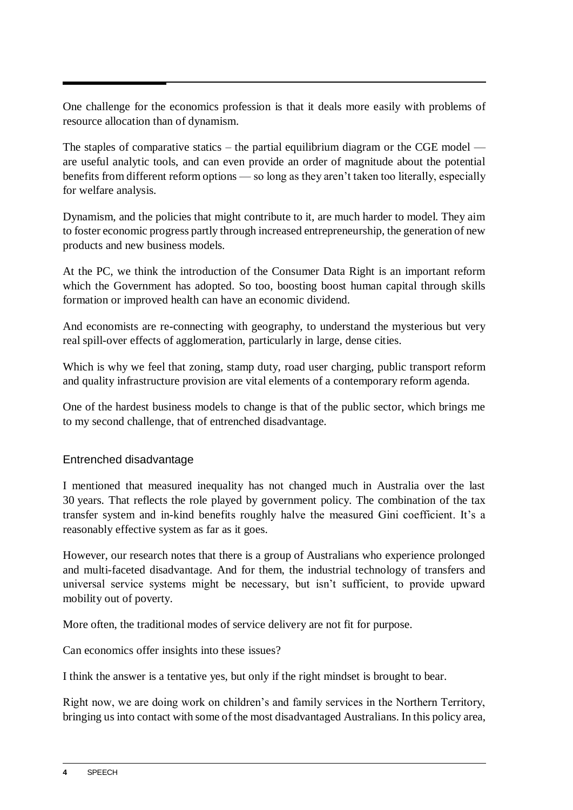One challenge for the economics profession is that it deals more easily with problems of resource allocation than of dynamism.

The staples of comparative statics – the partial equilibrium diagram or the CGE model  $$ are useful analytic tools, and can even provide an order of magnitude about the potential benefits from different reform options — so long as they aren't taken too literally, especially for welfare analysis.

Dynamism, and the policies that might contribute to it, are much harder to model. They aim to foster economic progress partly through increased entrepreneurship, the generation of new products and new business models.

At the PC, we think the introduction of the Consumer Data Right is an important reform which the Government has adopted. So too, boosting boost human capital through skills formation or improved health can have an economic dividend.

And economists are re-connecting with geography, to understand the mysterious but very real spill-over effects of agglomeration, particularly in large, dense cities.

Which is why we feel that zoning, stamp duty, road user charging, public transport reform and quality infrastructure provision are vital elements of a contemporary reform agenda.

One of the hardest business models to change is that of the public sector, which brings me to my second challenge, that of entrenched disadvantage.

## Entrenched disadvantage

I mentioned that measured inequality has not changed much in Australia over the last 30 years. That reflects the role played by government policy. The combination of the tax transfer system and in-kind benefits roughly halve the measured Gini coefficient. It's a reasonably effective system as far as it goes.

However, our research notes that there is a group of Australians who experience prolonged and multi-faceted disadvantage. And for them, the industrial technology of transfers and universal service systems might be necessary, but isn't sufficient, to provide upward mobility out of poverty.

More often, the traditional modes of service delivery are not fit for purpose.

Can economics offer insights into these issues?

I think the answer is a tentative yes, but only if the right mindset is brought to bear.

Right now, we are doing work on children's and family services in the Northern Territory, bringing us into contact with some of the most disadvantaged Australians. In this policy area,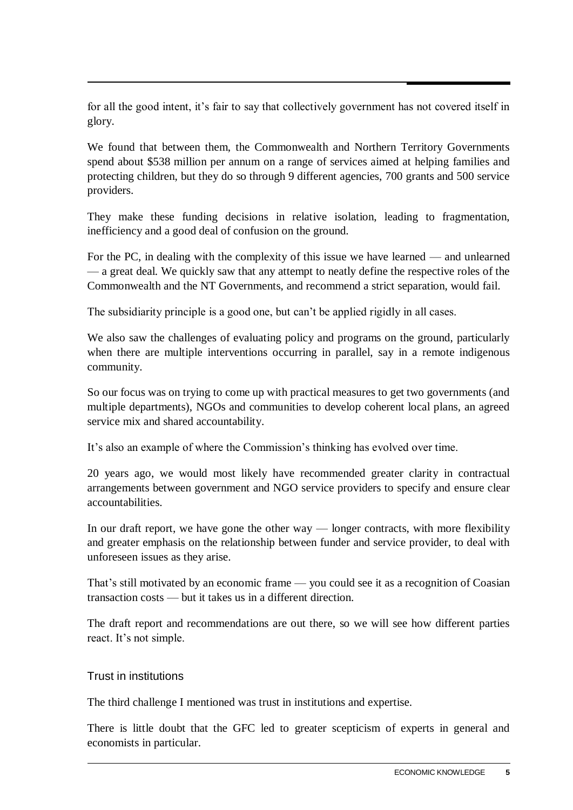for all the good intent, it's fair to say that collectively government has not covered itself in glory.

We found that between them, the Commonwealth and Northern Territory Governments spend about \$538 million per annum on a range of services aimed at helping families and protecting children, but they do so through 9 different agencies, 700 grants and 500 service providers.

They make these funding decisions in relative isolation, leading to fragmentation, inefficiency and a good deal of confusion on the ground.

For the PC, in dealing with the complexity of this issue we have learned — and unlearned — a great deal. We quickly saw that any attempt to neatly define the respective roles of the Commonwealth and the NT Governments, and recommend a strict separation, would fail.

The subsidiarity principle is a good one, but can't be applied rigidly in all cases.

We also saw the challenges of evaluating policy and programs on the ground, particularly when there are multiple interventions occurring in parallel, say in a remote indigenous community.

So our focus was on trying to come up with practical measures to get two governments (and multiple departments), NGOs and communities to develop coherent local plans, an agreed service mix and shared accountability.

It's also an example of where the Commission's thinking has evolved over time.

20 years ago, we would most likely have recommended greater clarity in contractual arrangements between government and NGO service providers to specify and ensure clear accountabilities.

In our draft report, we have gone the other way — longer contracts, with more flexibility and greater emphasis on the relationship between funder and service provider, to deal with unforeseen issues as they arise.

That's still motivated by an economic frame — you could see it as a recognition of Coasian transaction costs — but it takes us in a different direction.

The draft report and recommendations are out there, so we will see how different parties react. It's not simple.

#### Trust in institutions

The third challenge I mentioned was trust in institutions and expertise.

There is little doubt that the GFC led to greater scepticism of experts in general and economists in particular.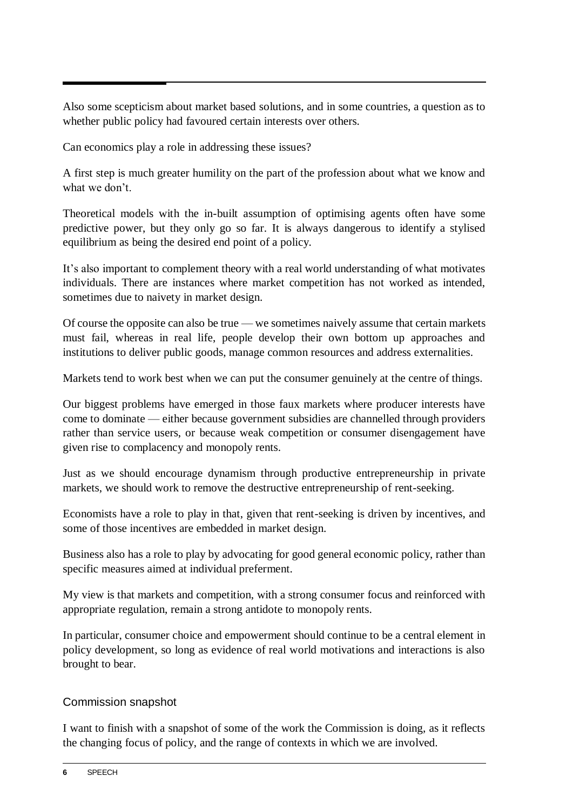Also some scepticism about market based solutions, and in some countries, a question as to whether public policy had favoured certain interests over others.

Can economics play a role in addressing these issues?

A first step is much greater humility on the part of the profession about what we know and what we don't.

Theoretical models with the in-built assumption of optimising agents often have some predictive power, but they only go so far. It is always dangerous to identify a stylised equilibrium as being the desired end point of a policy.

It's also important to complement theory with a real world understanding of what motivates individuals. There are instances where market competition has not worked as intended, sometimes due to naivety in market design.

Of course the opposite can also be true — we sometimes naively assume that certain markets must fail, whereas in real life, people develop their own bottom up approaches and institutions to deliver public goods, manage common resources and address externalities.

Markets tend to work best when we can put the consumer genuinely at the centre of things.

Our biggest problems have emerged in those faux markets where producer interests have come to dominate — either because government subsidies are channelled through providers rather than service users, or because weak competition or consumer disengagement have given rise to complacency and monopoly rents.

Just as we should encourage dynamism through productive entrepreneurship in private markets, we should work to remove the destructive entrepreneurship of rent-seeking.

Economists have a role to play in that, given that rent-seeking is driven by incentives, and some of those incentives are embedded in market design.

Business also has a role to play by advocating for good general economic policy, rather than specific measures aimed at individual preferment.

My view is that markets and competition, with a strong consumer focus and reinforced with appropriate regulation, remain a strong antidote to monopoly rents.

In particular, consumer choice and empowerment should continue to be a central element in policy development, so long as evidence of real world motivations and interactions is also brought to bear.

## Commission snapshot

I want to finish with a snapshot of some of the work the Commission is doing, as it reflects the changing focus of policy, and the range of contexts in which we are involved.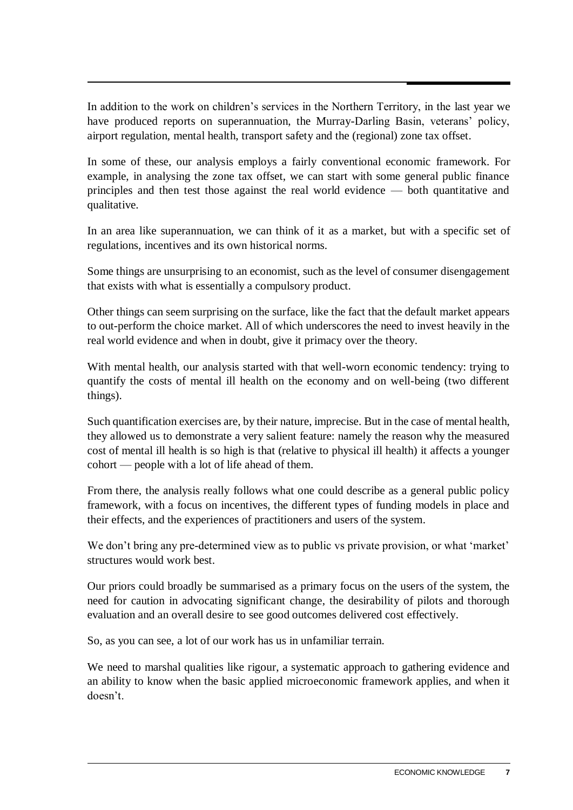In addition to the work on children's services in the Northern Territory, in the last year we have produced reports on superannuation, the Murray-Darling Basin, veterans' policy, airport regulation, mental health, transport safety and the (regional) zone tax offset.

In some of these, our analysis employs a fairly conventional economic framework. For example, in analysing the zone tax offset, we can start with some general public finance principles and then test those against the real world evidence — both quantitative and qualitative.

In an area like superannuation, we can think of it as a market, but with a specific set of regulations, incentives and its own historical norms.

Some things are unsurprising to an economist, such as the level of consumer disengagement that exists with what is essentially a compulsory product.

Other things can seem surprising on the surface, like the fact that the default market appears to out-perform the choice market. All of which underscores the need to invest heavily in the real world evidence and when in doubt, give it primacy over the theory.

With mental health, our analysis started with that well-worn economic tendency: trying to quantify the costs of mental ill health on the economy and on well-being (two different things).

Such quantification exercises are, by their nature, imprecise. But in the case of mental health, they allowed us to demonstrate a very salient feature: namely the reason why the measured cost of mental ill health is so high is that (relative to physical ill health) it affects a younger cohort — people with a lot of life ahead of them.

From there, the analysis really follows what one could describe as a general public policy framework, with a focus on incentives, the different types of funding models in place and their effects, and the experiences of practitioners and users of the system.

We don't bring any pre-determined view as to public vs private provision, or what 'market' structures would work best.

Our priors could broadly be summarised as a primary focus on the users of the system, the need for caution in advocating significant change, the desirability of pilots and thorough evaluation and an overall desire to see good outcomes delivered cost effectively.

So, as you can see, a lot of our work has us in unfamiliar terrain.

We need to marshal qualities like rigour, a systematic approach to gathering evidence and an ability to know when the basic applied microeconomic framework applies, and when it doesn't.